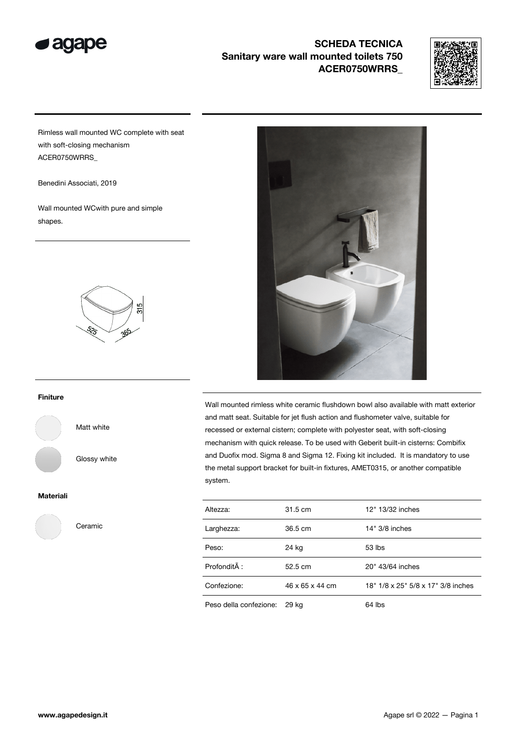

# SCHEDA TECNICA Sanitary ware wall mounted toilets 750 ACER0750WRRS\_



Rimless wall mounted WC complete with seat with soft-closing mechanism ACER0750WRRS\_

Benedini Associati, 2019

Wall mounted WCwith pure and simple shapes.



### Finiture

Matt white

Glossy white

#### Materiali



Ceramic



Wall mounted rimless white ceramic flushdown bowl also available with matt exterior and matt seat. Suitable for jet flush action and flushometer valve, suitable for recessed or external cistern; complete with polyester seat, with soft-closing mechanism with quick release. To be used with Geberit built-in cisterns: Combifix and Duofix mod. Sigma 8 and Sigma 12. Fixing kit included. It is mandatory to use the metal support bracket for built-in fixtures, AMET0315, or another compatible system.

| Altezza:               | 31.5 cm         | 12" 13/32 inches                   |
|------------------------|-----------------|------------------------------------|
| Larghezza:             | 36.5 cm         | 14" 3/8 inches                     |
| Peso:                  | 24 kg           | $53$ lbs                           |
| ProfonditÃ:            | 52.5 cm         | 20" 43/64 inches                   |
| Confezione:            | 46 x 65 x 44 cm | 18" 1/8 x 25" 5/8 x 17" 3/8 inches |
| Peso della confezione: | 29 kg           | 64 lbs                             |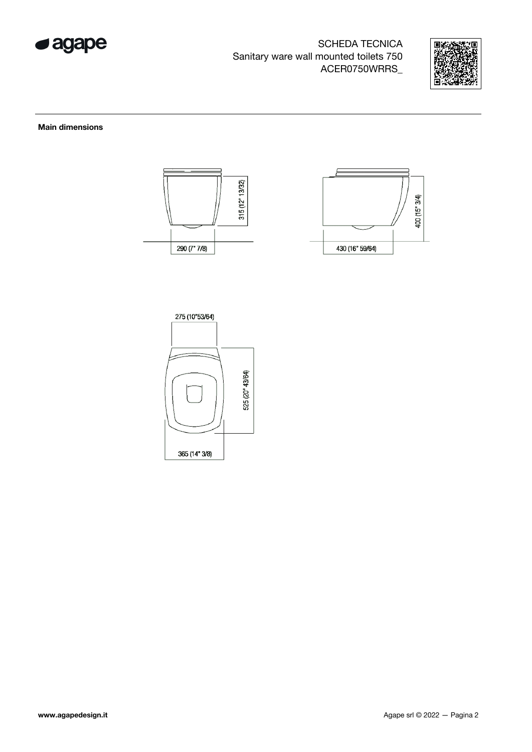

SCHEDA TECNICA Sanitary ware wall mounted toilets 750 ACER0750WRRS\_



### Main dimensions